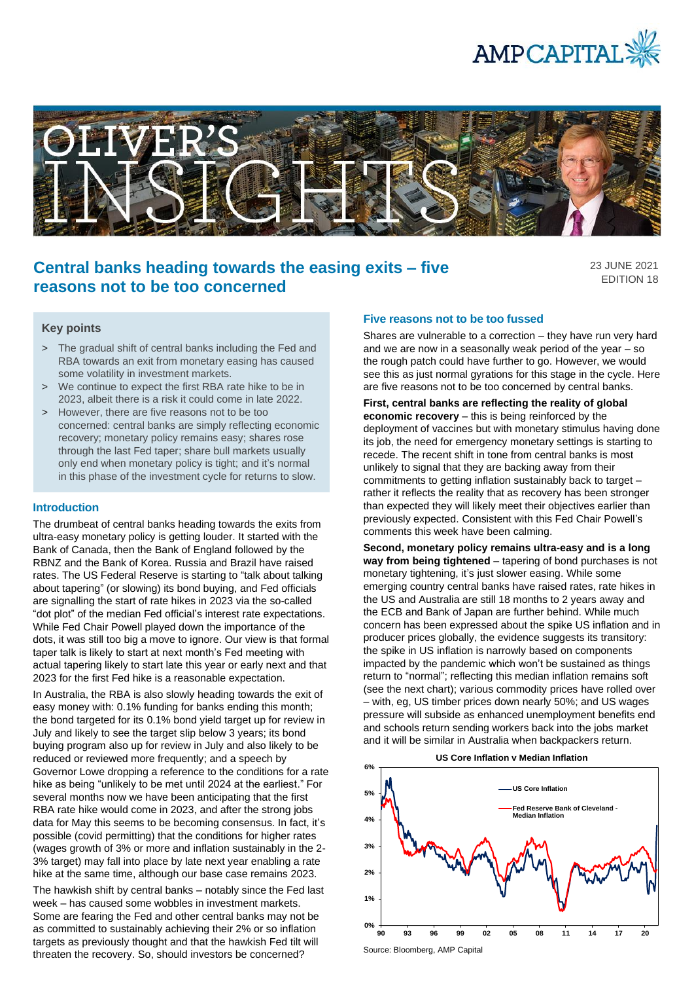



# **Central banks heading towards the easing exits – five reasons not to be too concerned**

23 JUNE 2021 EDITION 18

#### **Key points**

- > The gradual shift of central banks including the Fed and RBA towards an exit from monetary easing has caused some volatility in investment markets.
- > We continue to expect the first RBA rate hike to be in 2023, albeit there is a risk it could come in late 2022.
- > However, there are five reasons not to be too concerned: central banks are simply reflecting economic recovery; monetary policy remains easy; shares rose through the last Fed taper; share bull markets usually only end when monetary policy is tight; and it's normal in this phase of the investment cycle for returns to slow.

#### **Introduction**

The drumbeat of central banks heading towards the exits from ultra-easy monetary policy is getting louder. It started with the Bank of Canada, then the Bank of England followed by the RBNZ and the Bank of Korea. Russia and Brazil have raised rates. The US Federal Reserve is starting to "talk about talking about tapering" (or slowing) its bond buying, and Fed officials are signalling the start of rate hikes in 2023 via the so-called "dot plot" of the median Fed official's interest rate expectations. While Fed Chair Powell played down the importance of the dots, it was still too big a move to ignore. Our view is that formal taper talk is likely to start at next month's Fed meeting with actual tapering likely to start late this year or early next and that 2023 for the first Fed hike is a reasonable expectation.

In Australia, the RBA is also slowly heading towards the exit of easy money with: 0.1% funding for banks ending this month; the bond targeted for its 0.1% bond yield target up for review in July and likely to see the target slip below 3 years; its bond buying program also up for review in July and also likely to be reduced or reviewed more frequently; and a speech by Governor Lowe dropping a reference to the conditions for a rate hike as being "unlikely to be met until 2024 at the earliest." For several months now we have been anticipating that the first RBA rate hike would come in 2023, and after the strong jobs data for May this seems to be becoming consensus. In fact, it's possible (covid permitting) that the conditions for higher rates (wages growth of 3% or more and inflation sustainably in the 2- 3% target) may fall into place by late next year enabling a rate hike at the same time, although our base case remains 2023.

The hawkish shift by central banks – notably since the Fed last week – has caused some wobbles in investment markets. Some are fearing the Fed and other central banks may not be as committed to sustainably achieving their 2% or so inflation targets as previously thought and that the hawkish Fed tilt will threaten the recovery. So, should investors be concerned?

#### **Five reasons not to be too fussed**

Shares are vulnerable to a correction – they have run very hard and we are now in a seasonally weak period of the year – so the rough patch could have further to go. However, we would see this as just normal gyrations for this stage in the cycle. Here are five reasons not to be too concerned by central banks.

**First, central banks are reflecting the reality of global economic recovery** – this is being reinforced by the deployment of vaccines but with monetary stimulus having done its job, the need for emergency monetary settings is starting to recede. The recent shift in tone from central banks is most unlikely to signal that they are backing away from their commitments to getting inflation sustainably back to target – rather it reflects the reality that as recovery has been stronger than expected they will likely meet their objectives earlier than previously expected. Consistent with this Fed Chair Powell's comments this week have been calming.

**Second, monetary policy remains ultra-easy and is a long way from being tightened** – tapering of bond purchases is not monetary tightening, it's just slower easing. While some emerging country central banks have raised rates, rate hikes in the US and Australia are still 18 months to 2 years away and the ECB and Bank of Japan are further behind. While much concern has been expressed about the spike US inflation and in producer prices globally, the evidence suggests its transitory: the spike in US inflation is narrowly based on components impacted by the pandemic which won't be sustained as things return to "normal"; reflecting this median inflation remains soft (see the next chart); various commodity prices have rolled over – with, eg, US timber prices down nearly 50%; and US wages pressure will subside as enhanced unemployment benefits end and schools return sending workers back into the jobs market and it will be similar in Australia when backpackers return.





Source: Bloomberg, AMP Capital